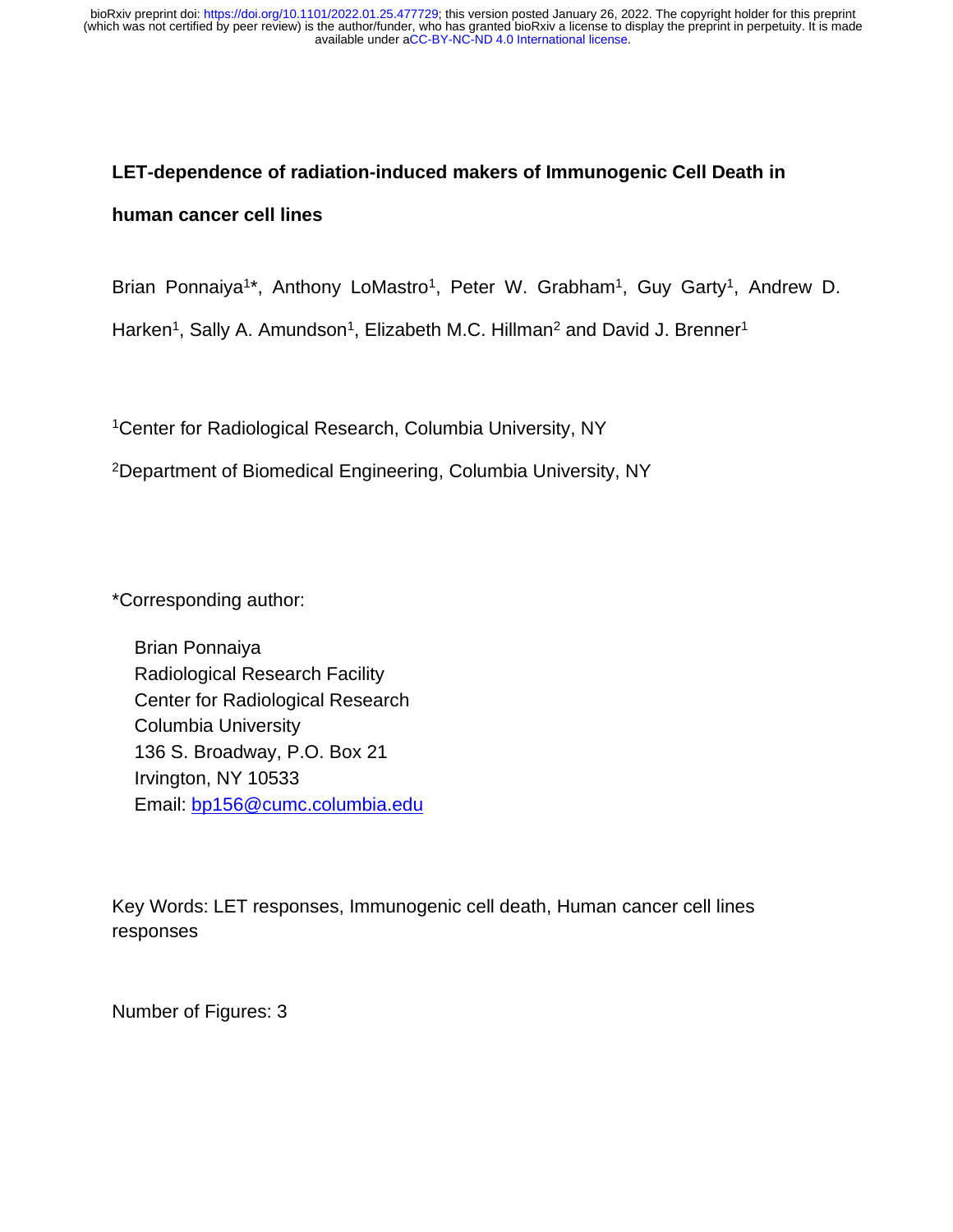# **LET-dependence of radiation-induced makers of Immunogenic Cell Death in**

#### **human cancer cell lines**

Brian Ponnaiya<sup>1\*</sup>, Anthony LoMastro<sup>1</sup>, Peter W. Grabham<sup>1</sup>, Guy Garty<sup>1</sup>, Andrew D.

Harken<sup>1</sup>, Sally A. Amundson<sup>1</sup>, Elizabeth M.C. Hillman<sup>2</sup> and David J. Brenner<sup>1</sup>

<sup>1</sup>Center for Radiological Research, Columbia University, NY

<sup>2</sup>Department of Biomedical Engineering, Columbia University, NY

\*Corresponding author:

Brian Ponnaiya Radiological Research Facility Center for Radiological Research Columbia University 136 S. Broadway, P.O. Box 21 Irvington, NY 10533 Email: [bp156@cumc.columbia.edu](mailto:bp156@cumc.columbia.edu)

Key Words: LET responses, Immunogenic cell death, Human cancer cell lines responses

Number of Figures: 3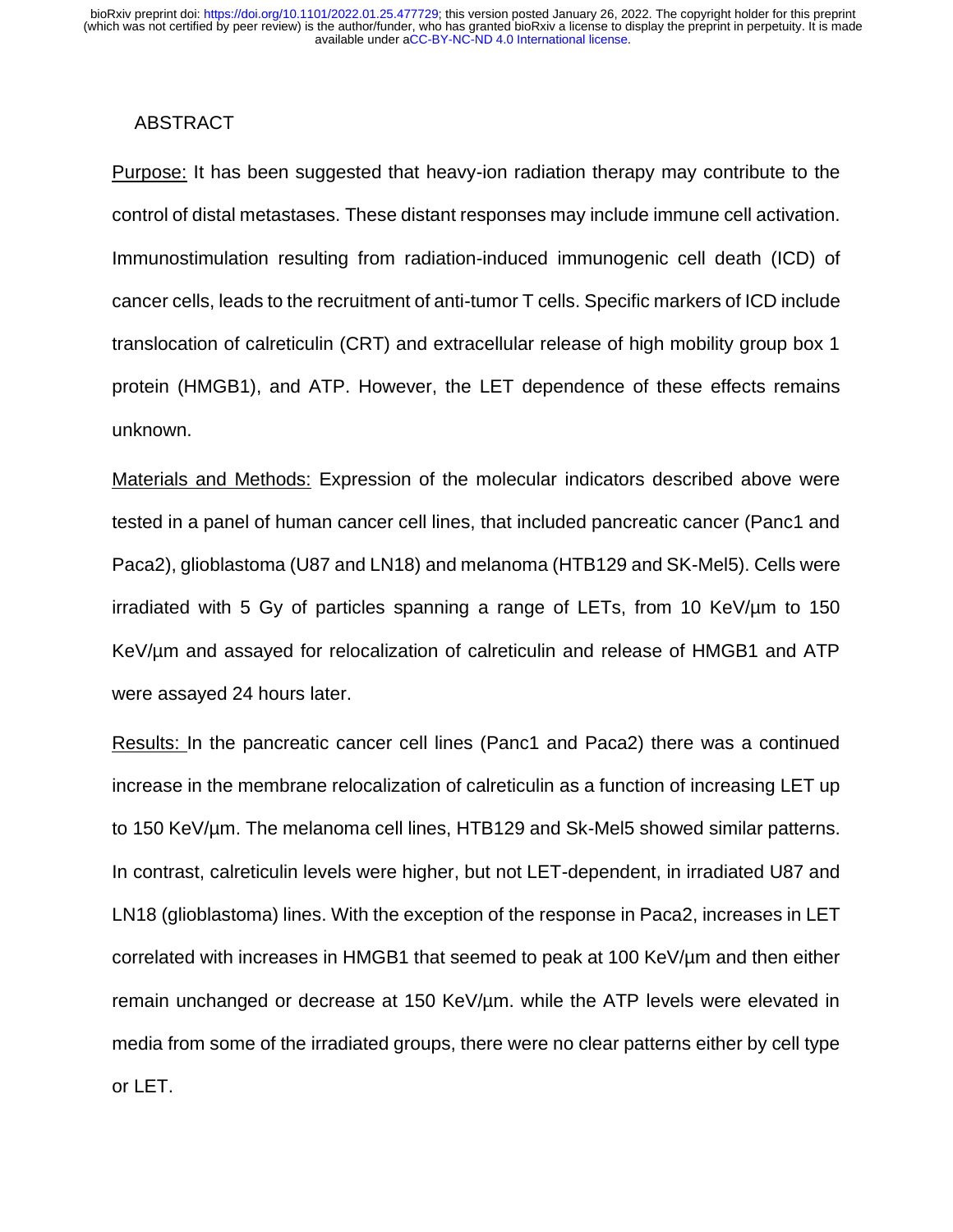## ABSTRACT

Purpose: It has been suggested that heavy-ion radiation therapy may contribute to the control of distal metastases. These distant responses may include immune cell activation. Immunostimulation resulting from radiation-induced immunogenic cell death (ICD) of cancer cells, leads to the recruitment of anti-tumor T cells. Specific markers of ICD include translocation of calreticulin (CRT) and extracellular release of high mobility group box 1 protein (HMGB1), and ATP. However, the LET dependence of these effects remains unknown.

Materials and Methods: Expression of the molecular indicators described above were tested in a panel of human cancer cell lines, that included pancreatic cancer (Panc1 and Paca2), glioblastoma (U87 and LN18) and melanoma (HTB129 and SK-Mel5). Cells were irradiated with 5 Gy of particles spanning a range of LETs, from 10 KeV/µm to 150 KeV/µm and assayed for relocalization of calreticulin and release of HMGB1 and ATP were assayed 24 hours later.

Results: In the pancreatic cancer cell lines (Panc1 and Paca2) there was a continued increase in the membrane relocalization of calreticulin as a function of increasing LET up to 150 KeV/µm. The melanoma cell lines, HTB129 and Sk-Mel5 showed similar patterns. In contrast, calreticulin levels were higher, but not LET-dependent, in irradiated U87 and LN18 (glioblastoma) lines. With the exception of the response in Paca2, increases in LET correlated with increases in HMGB1 that seemed to peak at 100 KeV/µm and then either remain unchanged or decrease at 150 KeV/um. while the ATP levels were elevated in media from some of the irradiated groups, there were no clear patterns either by cell type or LET.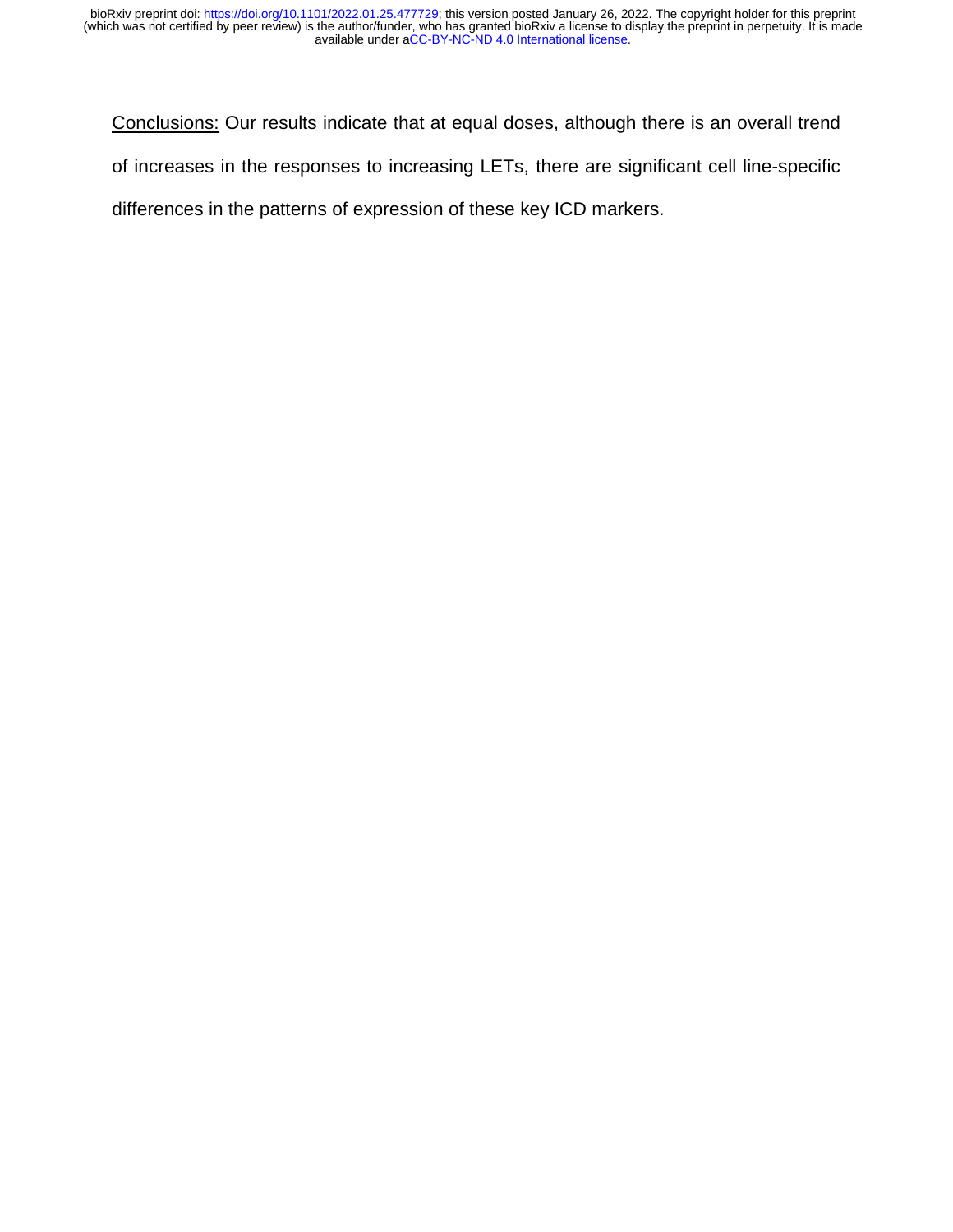Conclusions: Our results indicate that at equal doses, although there is an overall trend of increases in the responses to increasing LETs, there are significant cell line-specific differences in the patterns of expression of these key ICD markers.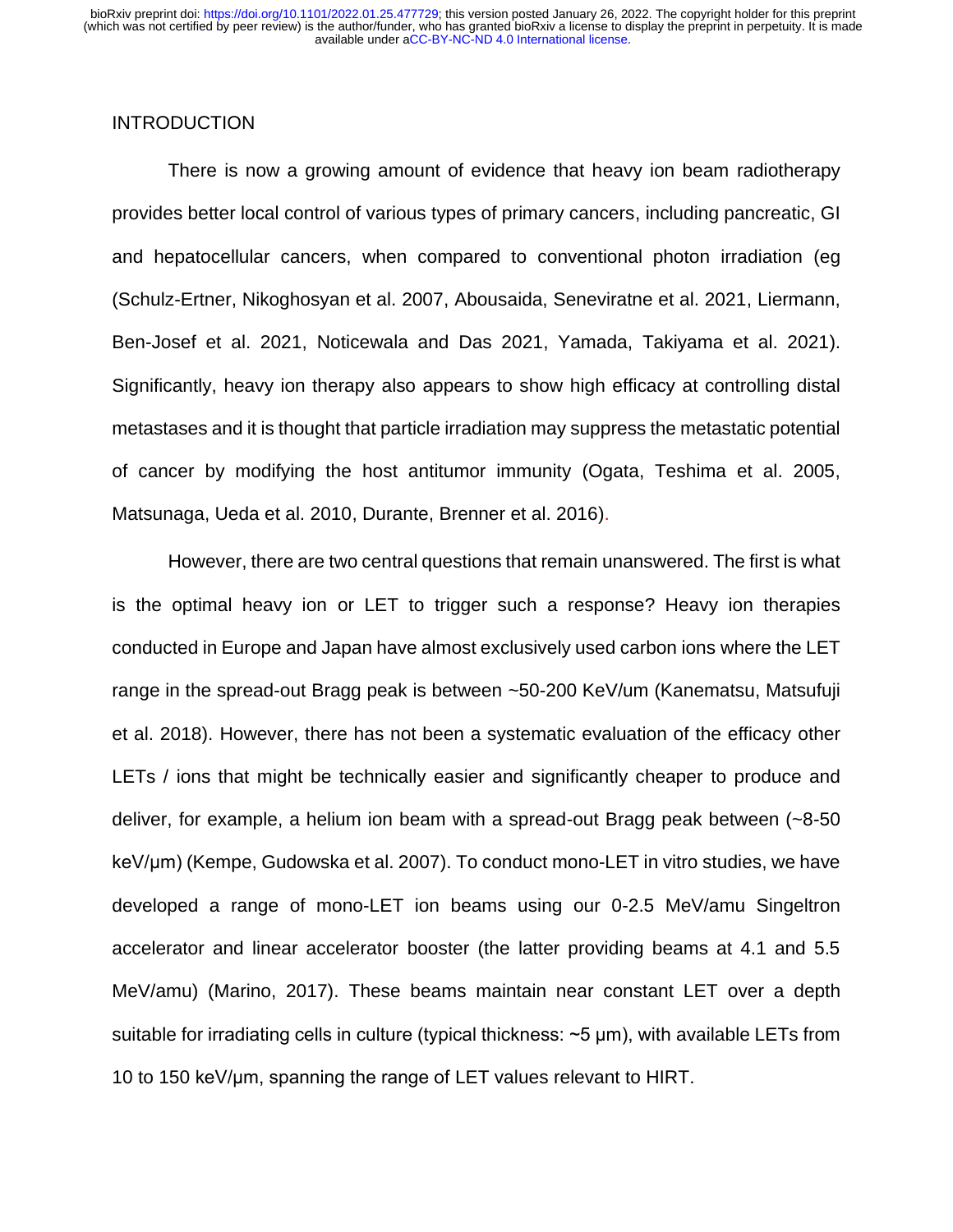# **INTRODUCTION**

There is now a growing amount of evidence that heavy ion beam radiotherapy provides better local control of various types of primary cancers, including pancreatic, GI and hepatocellular cancers, when compared to conventional photon irradiation (eg [\(Schulz-Ertner, Nikoghosyan et al. 2007,](#page-16-0) [Abousaida, Seneviratne et al. 2021,](#page-15-0) [Liermann,](#page-16-1)  [Ben-Josef et al. 2021,](#page-16-1) [Noticewala and Das 2021,](#page-16-2) [Yamada, Takiyama et al. 2021\)](#page-16-3). Significantly, heavy ion therapy also appears to show high efficacy at controlling distal metastases and it is thought that particle irradiation may suppress the metastatic potential of cancer by modifying the host antitumor immunity [\(Ogata, Teshima et al. 2005,](#page-16-4) [Matsunaga, Ueda et al. 2010,](#page-16-5) [Durante, Brenner et al. 2016\)](#page-15-1).

However, there are two central questions that remain unanswered. The first is what is the optimal heavy ion or LET to trigger such a response? Heavy ion therapies conducted in Europe and Japan have almost exclusively used carbon ions where the LET range in the spread-out Bragg peak is between ~50-200 KeV/um [\(Kanematsu, Matsufuji](#page-16-6)  [et al. 2018\)](#page-16-6). However, there has not been a systematic evaluation of the efficacy other LETs / ions that might be technically easier and significantly cheaper to produce and deliver, for example, a helium ion beam with a spread-out Bragg peak between (~8-50 keV/μm) [\(Kempe, Gudowska et al. 2007\)](#page-16-7). To conduct mono-LET in vitro studies, we have developed a range of mono-LET ion beams using our 0-2.5 MeV/amu Singeltron accelerator and linear accelerator booster (the latter providing beams at 4.1 and 5.5 MeV/amu) (Marino, 2017). These beams maintain near constant LET over a depth suitable for irradiating cells in culture (typical thickness: ~5 μm), with available LETs from 10 to 150 keV/μm, spanning the range of LET values relevant to HIRT.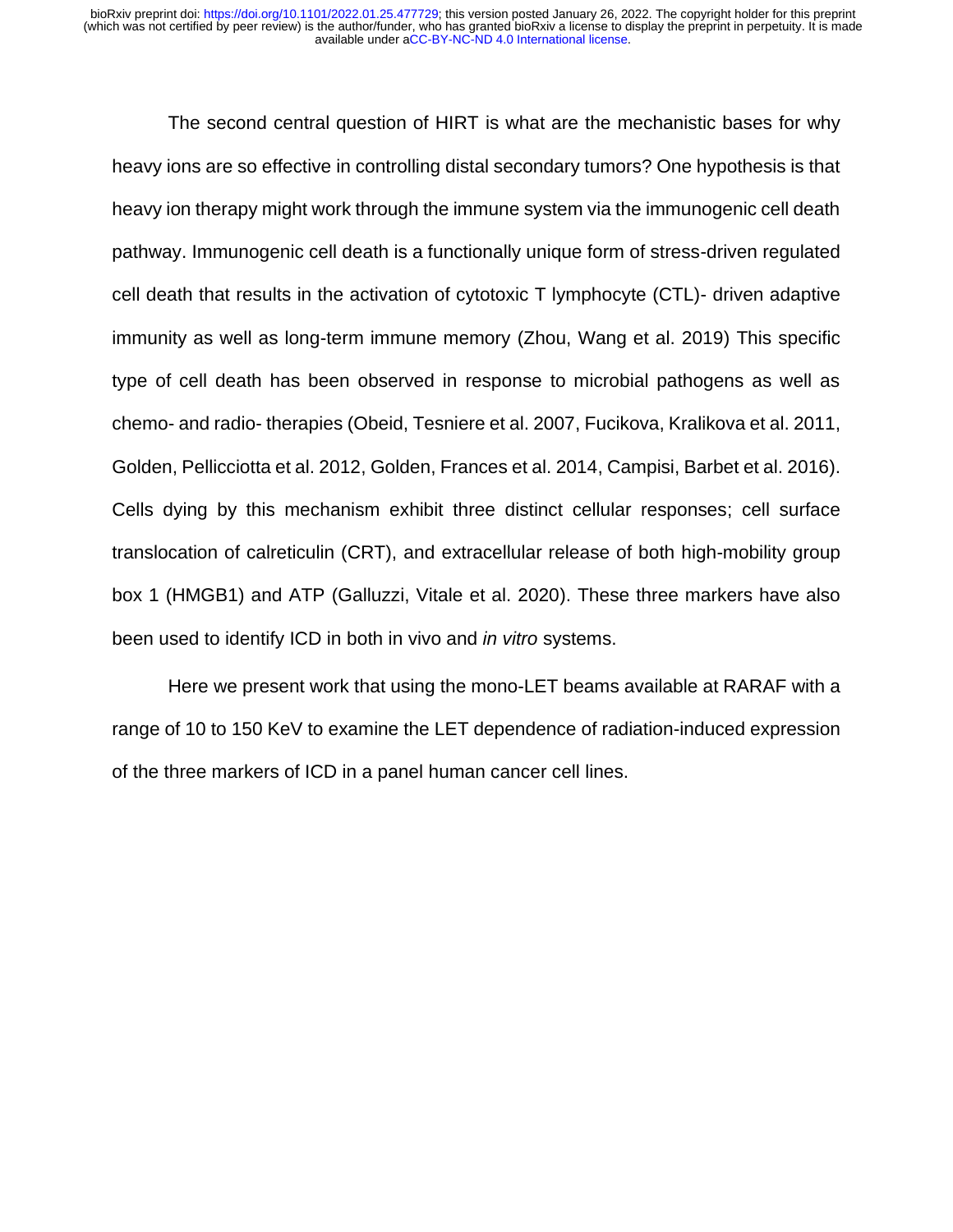The second central question of HIRT is what are the mechanistic bases for why heavy ions are so effective in controlling distal secondary tumors? One hypothesis is that heavy ion therapy might work through the immune system via the immunogenic cell death pathway. Immunogenic cell death is a functionally unique form of stress-driven regulated cell death that results in the activation of cytotoxic T lymphocyte (CTL)- driven adaptive immunity as well as long-term immune memory [\(Zhou, Wang et al. 2019\)](#page-16-8) This specific type of cell death has been observed in response to microbial pathogens as well as chemo- and radio- therapies [\(Obeid, Tesniere et al. 2007,](#page-16-9) [Fucikova, Kralikova et al. 2011,](#page-15-2) [Golden, Pellicciotta et al. 2012,](#page-15-3) [Golden, Frances et al. 2014,](#page-15-4) [Campisi, Barbet et al. 2016\)](#page-15-5). Cells dying by this mechanism exhibit three distinct cellular responses; cell surface translocation of calreticulin (CRT), and extracellular release of both high-mobility group box 1 (HMGB1) and ATP [\(Galluzzi, Vitale et al. 2020\)](#page-15-6). These three markers have also been used to identify ICD in both in vivo and *in vitro* systems.

Here we present work that using the mono-LET beams available at RARAF with a range of 10 to 150 KeV to examine the LET dependence of radiation-induced expression of the three markers of ICD in a panel human cancer cell lines.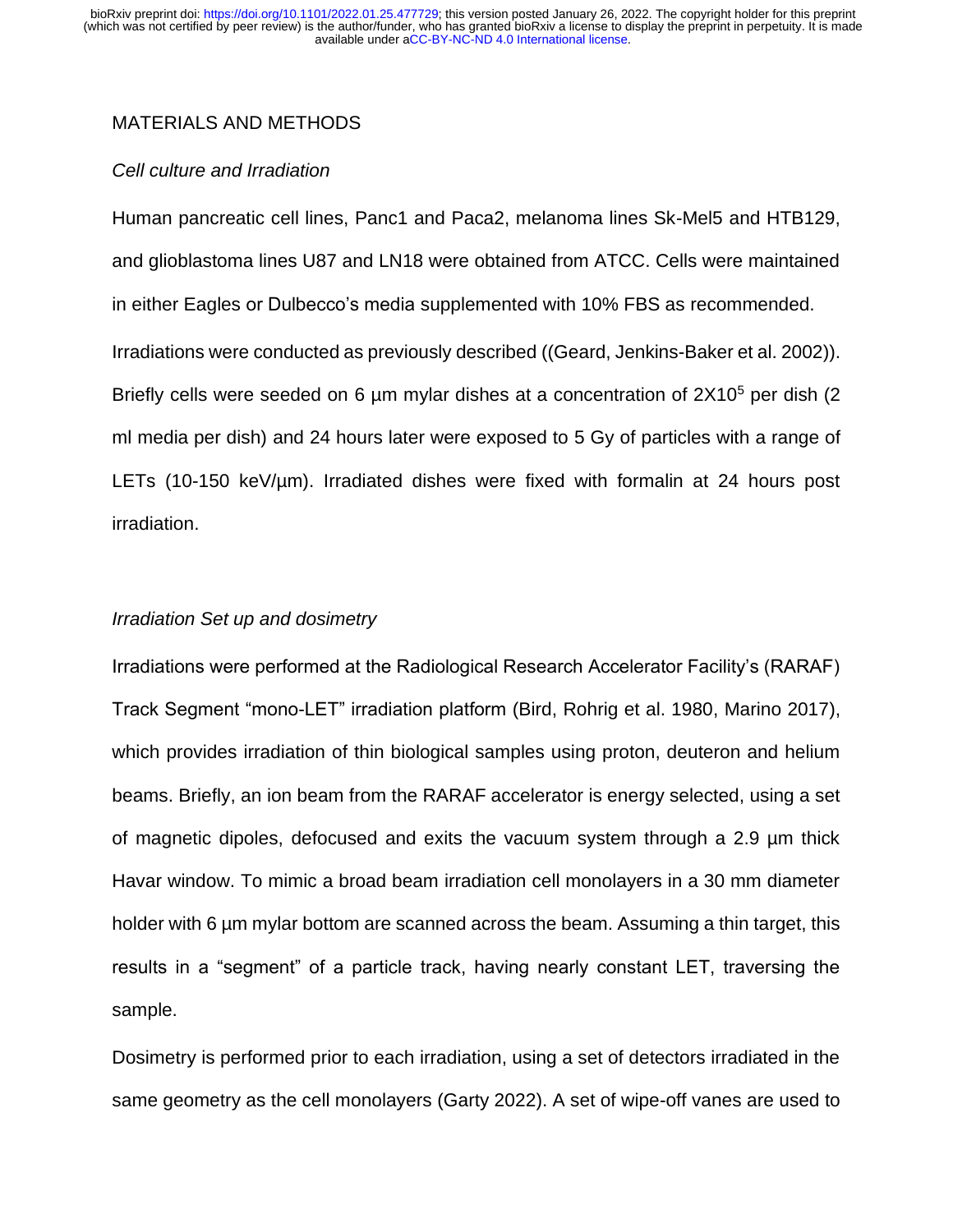# MATERIALS AND METHODS

### *Cell culture and Irradiation*

Human pancreatic cell lines, Panc1 and Paca2, melanoma lines Sk-Mel5 and HTB129, and glioblastoma lines U87 and LN18 were obtained from ATCC. Cells were maintained in either Eagles or Dulbecco's media supplemented with 10% FBS as recommended. Irradiations were conducted as previously described ([\(Geard, Jenkins-Baker et al. 2002\)](#page-15-7)). Briefly cells were seeded on 6  $\mu$ m mylar dishes at a concentration of 2X10<sup>5</sup> per dish (2) ml media per dish) and 24 hours later were exposed to 5 Gy of particles with a range of LETs (10-150 keV/µm). Irradiated dishes were fixed with formalin at 24 hours post irradiation.

#### *Irradiation Set up and dosimetry*

Irradiations were performed at the Radiological Research Accelerator Facility's (RARAF) Track Segment "mono-LET" irradiation platform [\(Bird, Rohrig et al. 1980,](#page-15-8) [Marino 2017\)](#page-16-10), which provides irradiation of thin biological samples using proton, deuteron and helium beams. Briefly, an ion beam from the RARAF accelerator is energy selected, using a set of magnetic dipoles, defocused and exits the vacuum system through a 2.9 µm thick Havar window. To mimic a broad beam irradiation cell monolayers in a 30 mm diameter holder with 6 µm mylar bottom are scanned across the beam. Assuming a thin target, this results in a "segment" of a particle track, having nearly constant LET, traversing the sample.

Dosimetry is performed prior to each irradiation, using a set of detectors irradiated in the same geometry as the cell monolayers [\(Garty 2022\)](#page-15-9). A set of wipe-off vanes are used to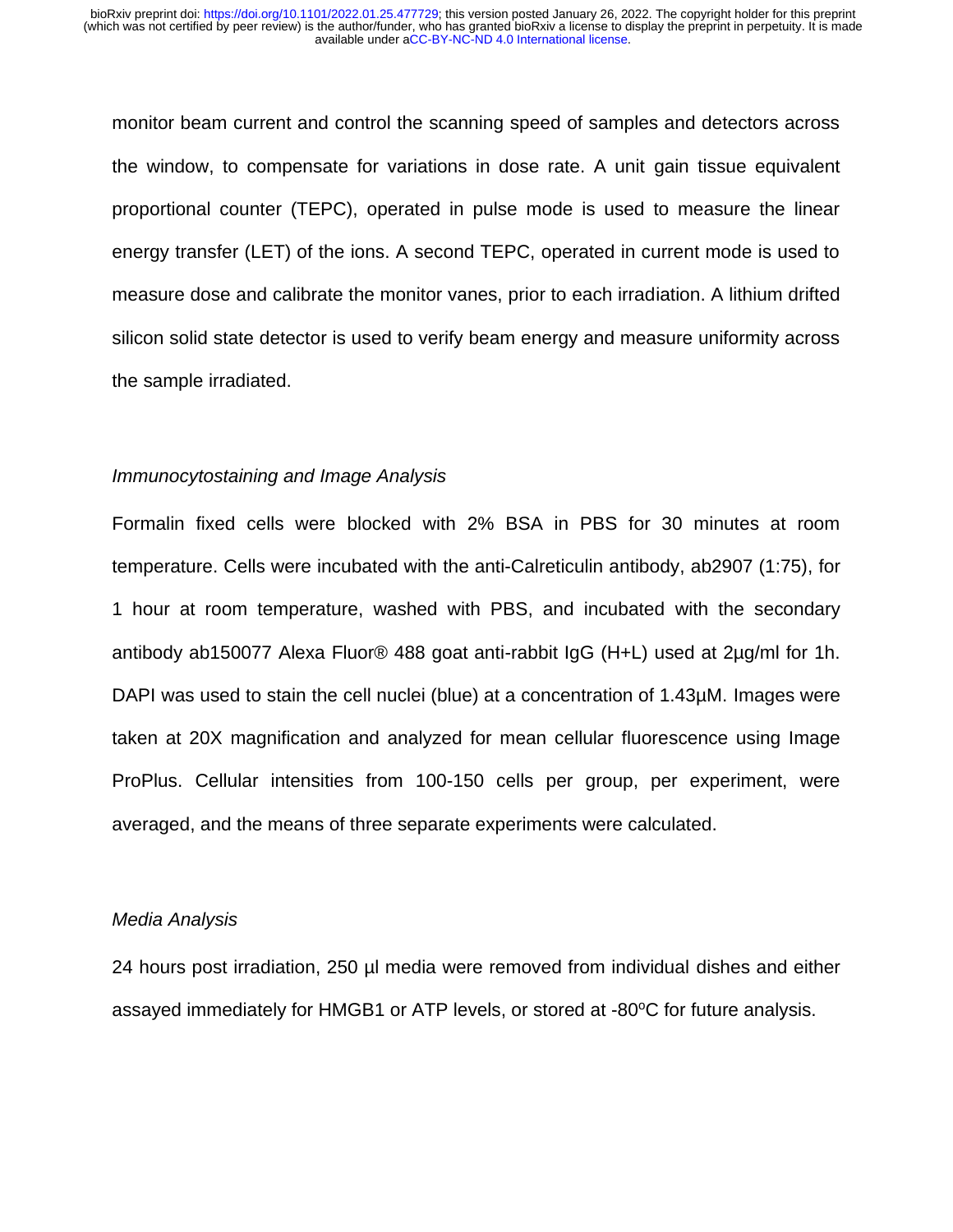monitor beam current and control the scanning speed of samples and detectors across the window, to compensate for variations in dose rate. A unit gain tissue equivalent proportional counter (TEPC), operated in pulse mode is used to measure the linear energy transfer (LET) of the ions. A second TEPC, operated in current mode is used to measure dose and calibrate the monitor vanes, prior to each irradiation. A lithium drifted silicon solid state detector is used to verify beam energy and measure uniformity across the sample irradiated.

#### *Immunocytostaining and Image Analysis*

Formalin fixed cells were blocked with 2% BSA in PBS for 30 minutes at room temperature. Cells were incubated with the anti-Calreticulin antibody, ab2907 (1:75), for 1 hour at room temperature, washed with PBS, and incubated with the secondary antibody ab150077 Alexa Fluor® 488 goat anti-rabbit IgG (H+L) used at 2µg/ml for 1h. DAPI was used to stain the cell nuclei (blue) at a concentration of 1.43µM. Images were taken at 20X magnification and analyzed for mean cellular fluorescence using Image ProPlus. Cellular intensities from 100-150 cells per group, per experiment, were averaged, and the means of three separate experiments were calculated.

#### *Media Analysis*

24 hours post irradiation, 250 µl media were removed from individual dishes and either assayed immediately for HMGB1 or ATP levels, or stored at -80°C for future analysis.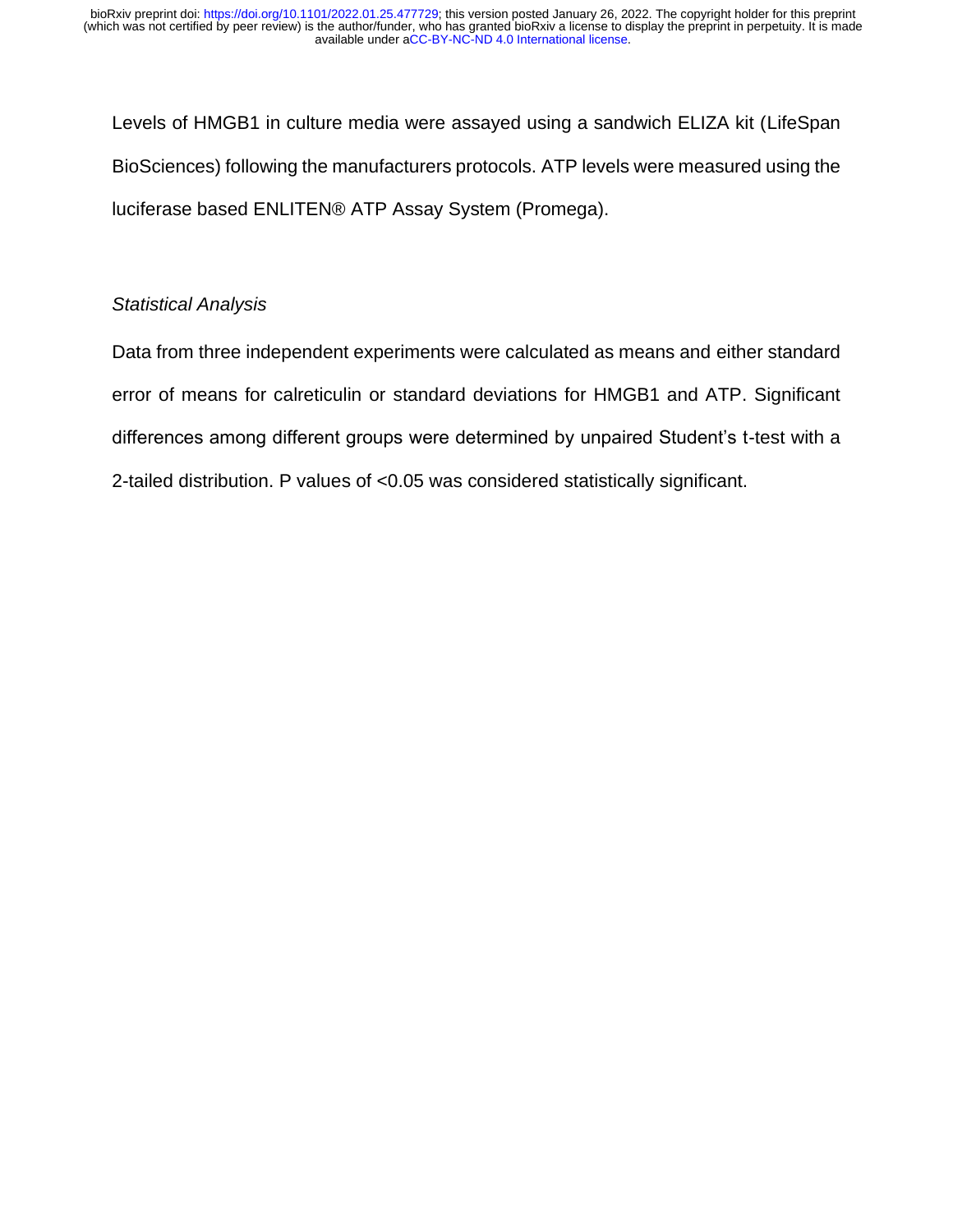Levels of HMGB1 in culture media were assayed using a sandwich ELIZA kit (LifeSpan BioSciences) following the manufacturers protocols. ATP levels were measured using the luciferase based ENLITEN® ATP Assay System (Promega).

# *Statistical Analysis*

Data from three independent experiments were calculated as means and either standard error of means for calreticulin or standard deviations for HMGB1 and ATP. Significant differences among different groups were determined by unpaired Student's t-test with a 2-tailed distribution. P values of <0.05 was considered statistically significant.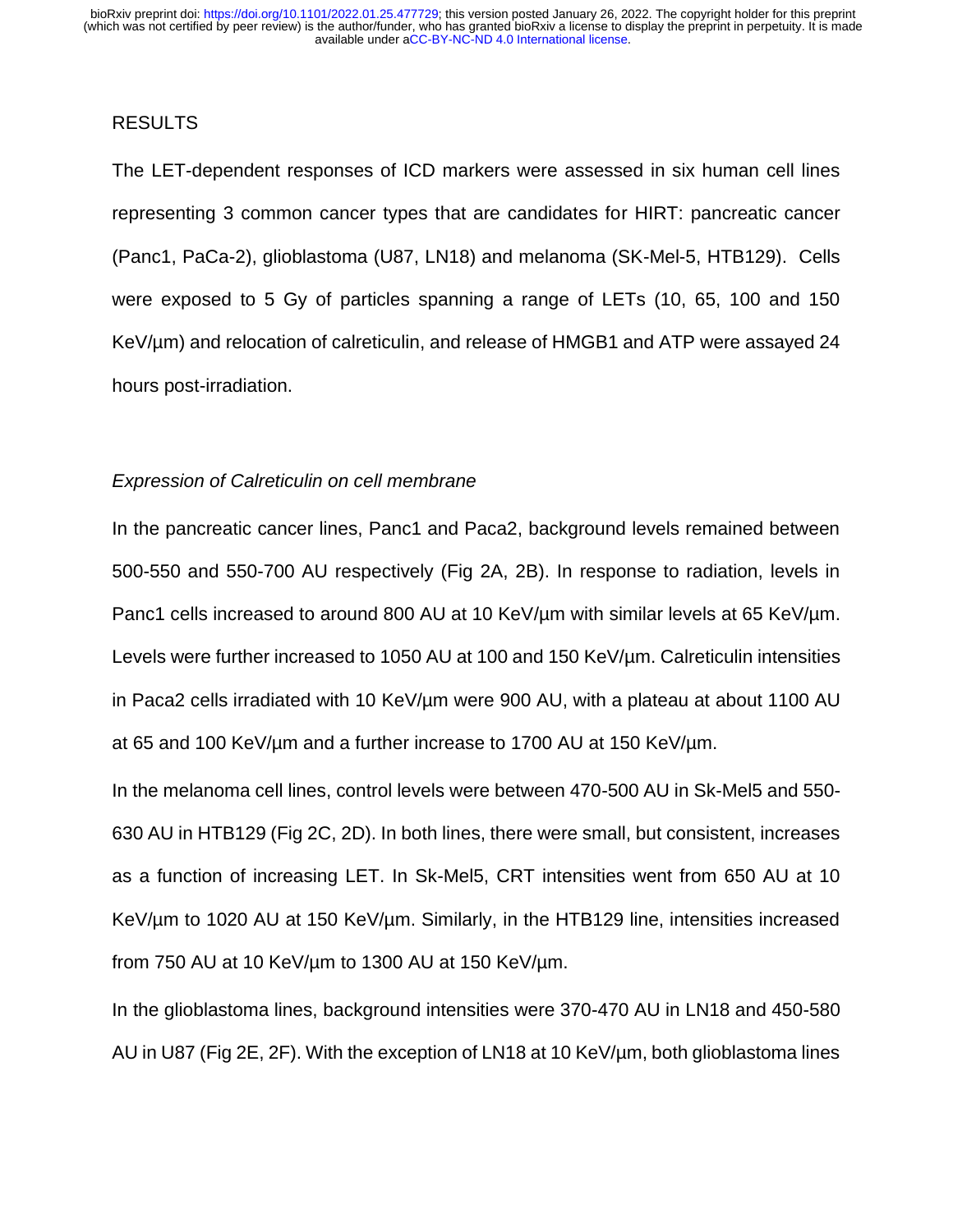# RESULTS

The LET-dependent responses of ICD markers were assessed in six human cell lines representing 3 common cancer types that are candidates for HIRT: pancreatic cancer (Panc1, PaCa-2), glioblastoma (U87, LN18) and melanoma (SK-Mel-5, HTB129). Cells were exposed to 5 Gy of particles spanning a range of LETs (10, 65, 100 and 150 KeV/um) and relocation of calreticulin, and release of HMGB1 and ATP were assayed 24 hours post-irradiation.

#### *Expression of Calreticulin on cell membrane*

In the pancreatic cancer lines, Panc1 and Paca2, background levels remained between 500-550 and 550-700 AU respectively (Fig 2A, 2B). In response to radiation, levels in Panc1 cells increased to around 800 AU at 10 KeV/um with similar levels at 65 KeV/um. Levels were further increased to 1050 AU at 100 and 150 KeV/um. Calreticulin intensities in Paca2 cells irradiated with 10 KeV/µm were 900 AU, with a plateau at about 1100 AU at 65 and 100 KeV/µm and a further increase to 1700 AU at 150 KeV/µm.

In the melanoma cell lines, control levels were between 470-500 AU in Sk-Mel5 and 550- 630 AU in HTB129 (Fig 2C, 2D). In both lines, there were small, but consistent, increases as a function of increasing LET. In Sk-Mel5, CRT intensities went from 650 AU at 10 KeV/µm to 1020 AU at 150 KeV/µm. Similarly, in the HTB129 line, intensities increased from 750 AU at 10 KeV/µm to 1300 AU at 150 KeV/µm.

In the glioblastoma lines, background intensities were 370-470 AU in LN18 and 450-580 AU in U87 (Fig 2E, 2F). With the exception of LN18 at 10 KeV/µm, both glioblastoma lines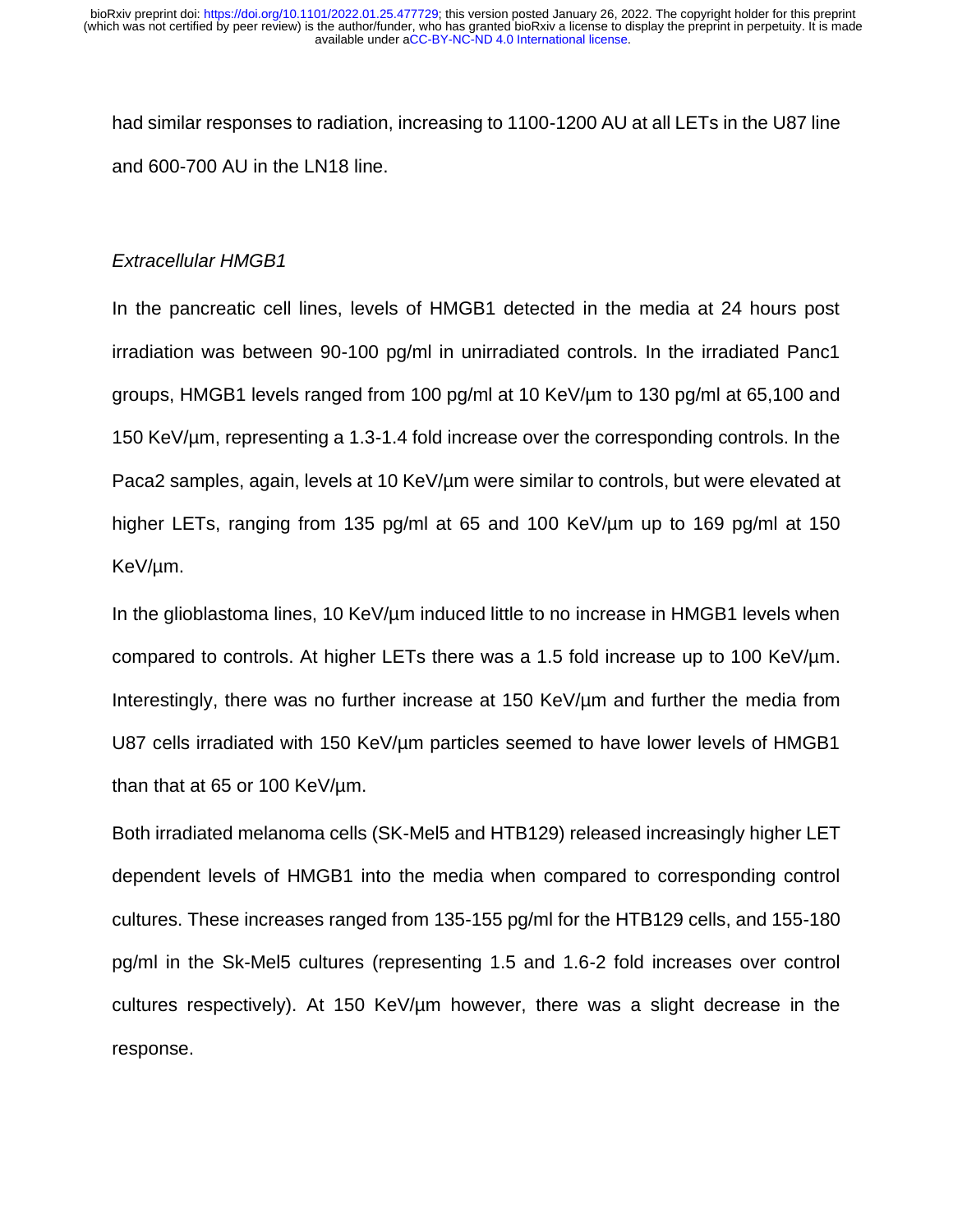had similar responses to radiation, increasing to 1100-1200 AU at all LETs in the U87 line and 600-700 AU in the LN18 line.

## *Extracellular HMGB1*

In the pancreatic cell lines, levels of HMGB1 detected in the media at 24 hours post irradiation was between 90-100 pg/ml in unirradiated controls. In the irradiated Panc1 groups, HMGB1 levels ranged from 100 pg/ml at 10 KeV/µm to 130 pg/ml at 65,100 and 150 KeV/µm, representing a 1.3-1.4 fold increase over the corresponding controls. In the Paca2 samples, again, levels at 10 KeV/um were similar to controls, but were elevated at higher LETs, ranging from 135 pg/ml at 65 and 100 KeV/um up to 169 pg/ml at 150 KeV/µm.

In the glioblastoma lines, 10 KeV/ $\mu$ m induced little to no increase in HMGB1 levels when compared to controls. At higher LETs there was a 1.5 fold increase up to 100 KeV/µm. Interestingly, there was no further increase at 150 KeV/µm and further the media from U87 cells irradiated with 150 KeV/um particles seemed to have lower levels of HMGB1 than that at 65 or 100 KeV/µm.

Both irradiated melanoma cells (SK-Mel5 and HTB129) released increasingly higher LET dependent levels of HMGB1 into the media when compared to corresponding control cultures. These increases ranged from 135-155 pg/ml for the HTB129 cells, and 155-180 pg/ml in the Sk-Mel5 cultures (representing 1.5 and 1.6-2 fold increases over control cultures respectively). At 150 KeV/µm however, there was a slight decrease in the response.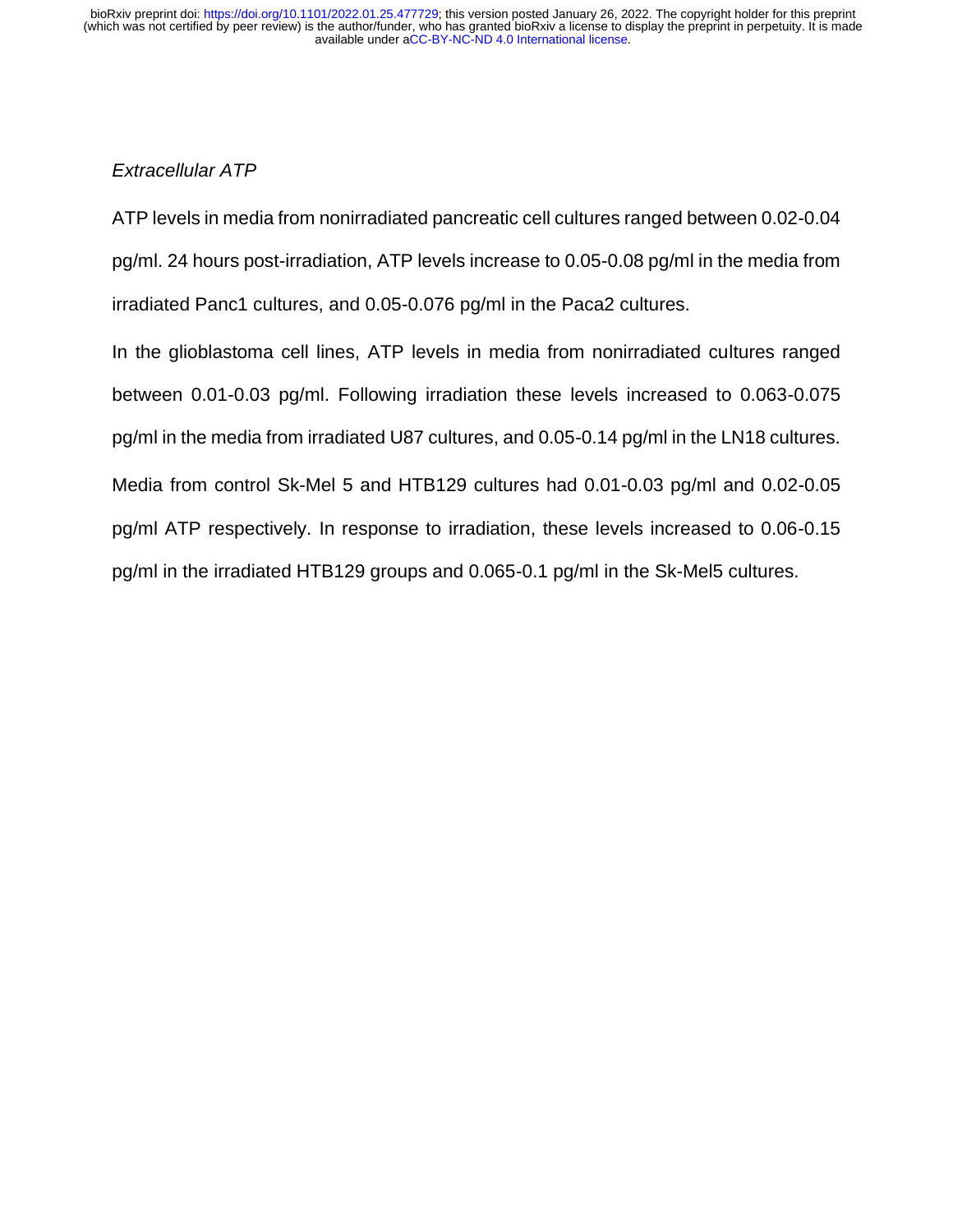# *Extracellular ATP*

ATP levels in media from nonirradiated pancreatic cell cultures ranged between 0.02-0.04 pg/ml. 24 hours post-irradiation, ATP levels increase to 0.05-0.08 pg/ml in the media from irradiated Panc1 cultures, and 0.05-0.076 pg/ml in the Paca2 cultures.

In the glioblastoma cell lines, ATP levels in media from nonirradiated cultures ranged between 0.01-0.03 pg/ml. Following irradiation these levels increased to 0.063-0.075 pg/ml in the media from irradiated U87 cultures, and 0.05-0.14 pg/ml in the LN18 cultures. Media from control Sk-Mel 5 and HTB129 cultures had 0.01-0.03 pg/ml and 0.02-0.05 pg/ml ATP respectively. In response to irradiation, these levels increased to 0.06-0.15 pg/ml in the irradiated HTB129 groups and 0.065-0.1 pg/ml in the Sk-Mel5 cultures.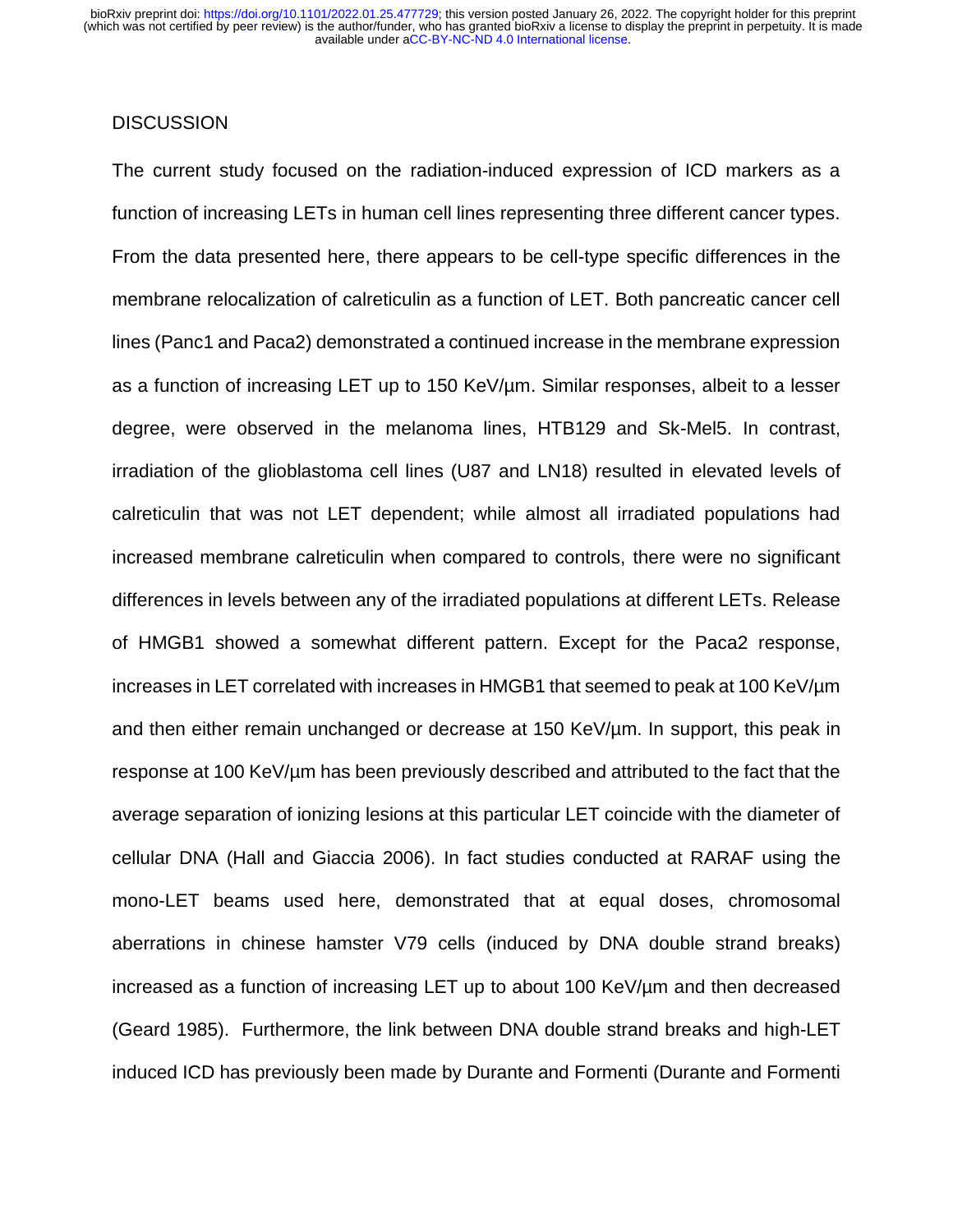# **DISCUSSION**

The current study focused on the radiation-induced expression of ICD markers as a function of increasing LETs in human cell lines representing three different cancer types. From the data presented here, there appears to be cell-type specific differences in the membrane relocalization of calreticulin as a function of LET. Both pancreatic cancer cell lines (Panc1 and Paca2) demonstrated a continued increase in the membrane expression as a function of increasing LET up to 150 KeV/µm. Similar responses, albeit to a lesser degree, were observed in the melanoma lines, HTB129 and Sk-Mel5. In contrast, irradiation of the glioblastoma cell lines (U87 and LN18) resulted in elevated levels of calreticulin that was not LET dependent; while almost all irradiated populations had increased membrane calreticulin when compared to controls, there were no significant differences in levels between any of the irradiated populations at different LETs. Release of HMGB1 showed a somewhat different pattern. Except for the Paca2 response, increases in LET correlated with increases in HMGB1 that seemed to peak at 100 KeV/µm and then either remain unchanged or decrease at 150 KeV/um. In support, this peak in response at 100 KeV/µm has been previously described and attributed to the fact that the average separation of ionizing lesions at this particular LET coincide with the diameter of cellular DNA [\(Hall and Giaccia 2006\)](#page-16-11). In fact studies conducted at RARAF using the mono-LET beams used here, demonstrated that at equal doses, chromosomal aberrations in chinese hamster V79 cells (induced by DNA double strand breaks) increased as a function of increasing LET up to about 100 KeV/µm and then decreased [\(Geard 1985\)](#page-15-10). Furthermore, the link between DNA double strand breaks and high-LET induced ICD has previously been made by Durante and Formenti [\(Durante and Formenti](#page-15-11)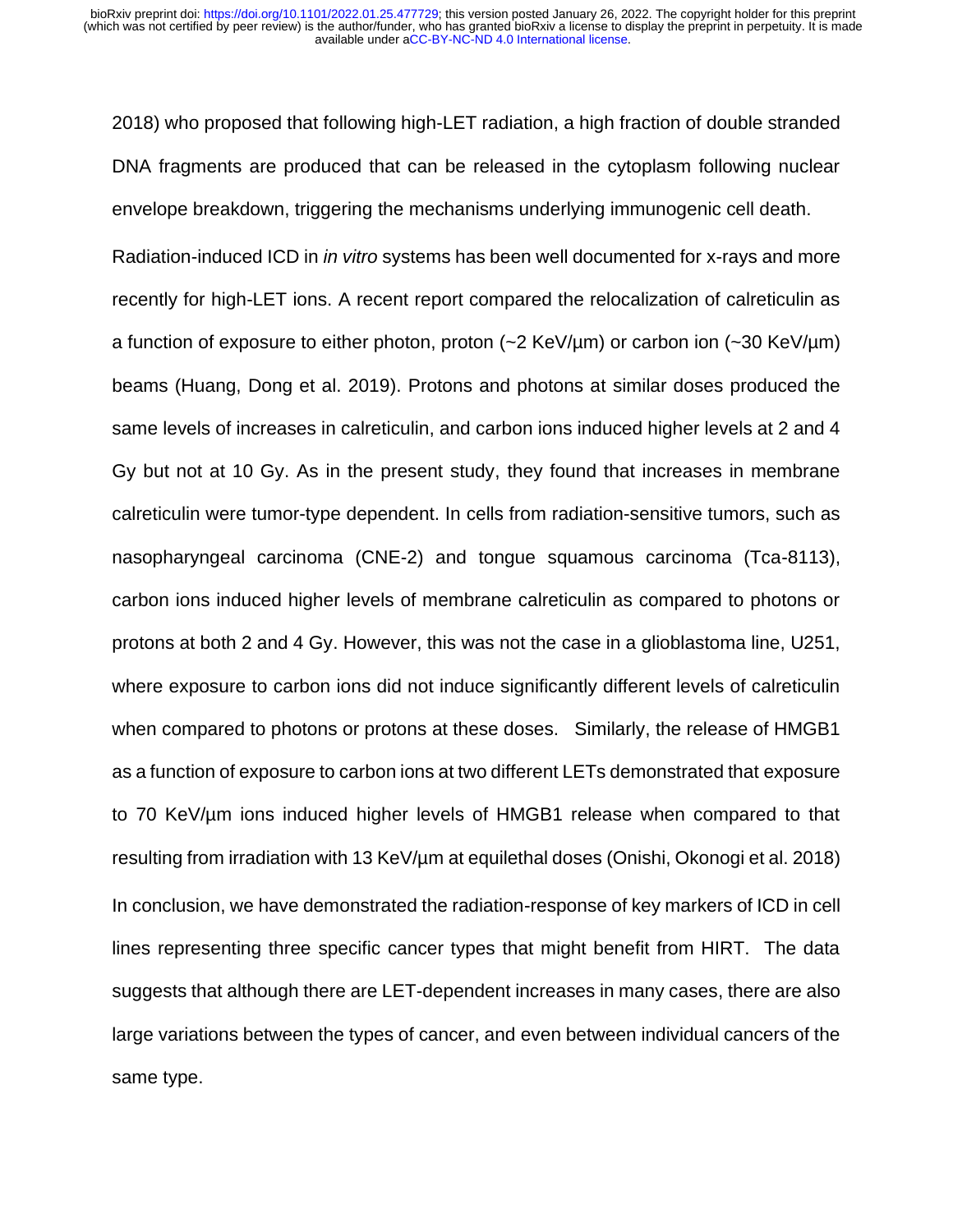[2018\)](#page-15-11) who proposed that following high-LET radiation, a high fraction of double stranded DNA fragments are produced that can be released in the cytoplasm following nuclear envelope breakdown, triggering the mechanisms underlying immunogenic cell death.

Radiation-induced ICD in *in vitro* systems has been well documented for x-rays and more recently for high-LET ions. A recent report compared the relocalization of calreticulin as a function of exposure to either photon, proton  $(-2 \text{ KeV}/\mu\text{m})$  or carbon ion  $(-30 \text{ KeV}/\mu\text{m})$ beams [\(Huang, Dong et al. 2019\)](#page-16-12). Protons and photons at similar doses produced the same levels of increases in calreticulin, and carbon ions induced higher levels at 2 and 4 Gy but not at 10 Gy. As in the present study, they found that increases in membrane calreticulin were tumor-type dependent. In cells from radiation-sensitive tumors, such as nasopharyngeal carcinoma (CNE-2) and tongue squamous carcinoma (Tca-8113), carbon ions induced higher levels of membrane calreticulin as compared to photons or protons at both 2 and 4 Gy. However, this was not the case in a glioblastoma line, U251, where exposure to carbon ions did not induce significantly different levels of calreticulin when compared to photons or protons at these doses. Similarly, the release of HMGB1 as a function of exposure to carbon ions at two different LETs demonstrated that exposure to 70 KeV/µm ions induced higher levels of HMGB1 release when compared to that resulting from irradiation with 13 KeV/µm at equilethal doses [\(Onishi, Okonogi et al. 2018\)](#page-16-13) In conclusion, we have demonstrated the radiation-response of key markers of ICD in cell lines representing three specific cancer types that might benefit from HIRT. The data suggests that although there are LET-dependent increases in many cases, there are also large variations between the types of cancer, and even between individual cancers of the same type.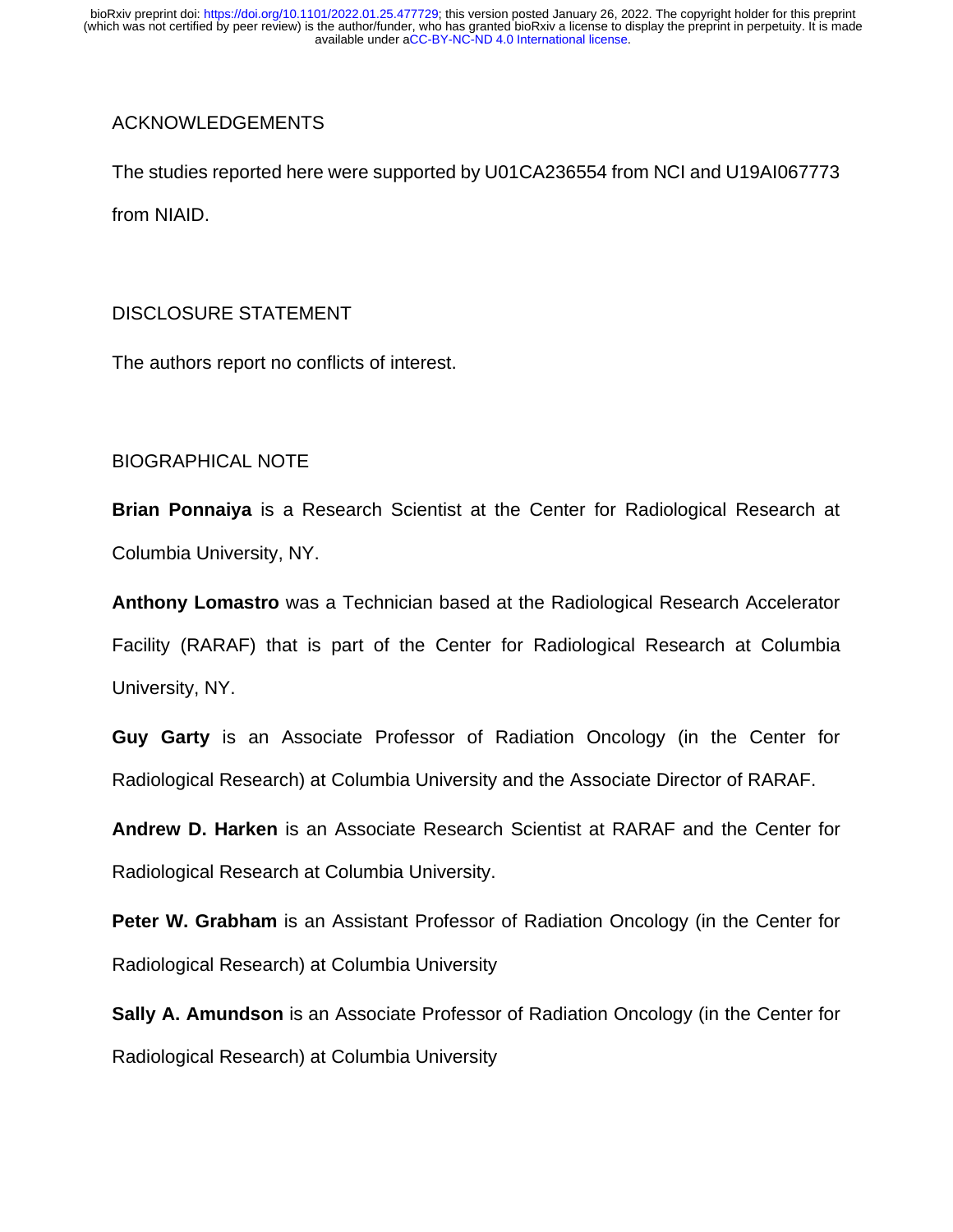# ACKNOWLEDGEMENTS

The studies reported here were supported by U01CA236554 from NCI and U19AI067773 from NIAID.

### DISCLOSURE STATEMENT

The authors report no conflicts of interest.

# BIOGRAPHICAL NOTE

**Brian Ponnaiya** is a Research Scientist at the Center for Radiological Research at Columbia University, NY.

**Anthony Lomastro** was a Technician based at the Radiological Research Accelerator Facility (RARAF) that is part of the Center for Radiological Research at Columbia University, NY.

**Guy Garty** is an Associate Professor of Radiation Oncology (in the Center for Radiological Research) at Columbia University and the Associate Director of RARAF.

**Andrew D. Harken** is an Associate Research Scientist at RARAF and the Center for Radiological Research at Columbia University.

**Peter W. Grabham** is an Assistant Professor of Radiation Oncology (in the Center for Radiological Research) at Columbia University

**Sally A. Amundson** is an Associate Professor of Radiation Oncology (in the Center for Radiological Research) at Columbia University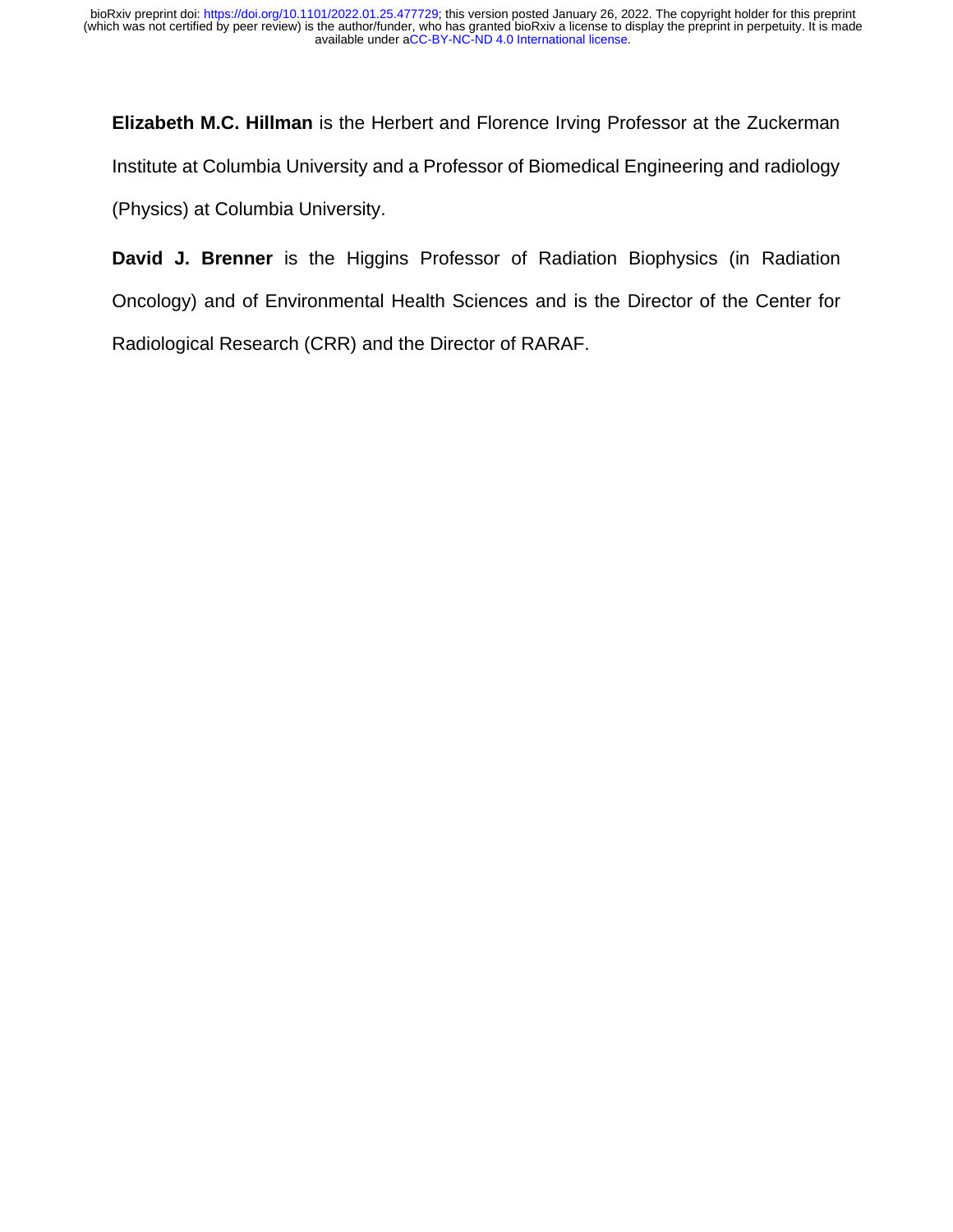**Elizabeth M.C. Hillman** is the Herbert and Florence Irving Professor at the Zuckerman Institute at Columbia University and a Professor of Biomedical Engineering and radiology (Physics) at Columbia University.

**David J. Brenner** is the Higgins Professor of Radiation Biophysics (in Radiation Oncology) and of Environmental Health Sciences and is the Director of the Center for Radiological Research (CRR) and the Director of RARAF.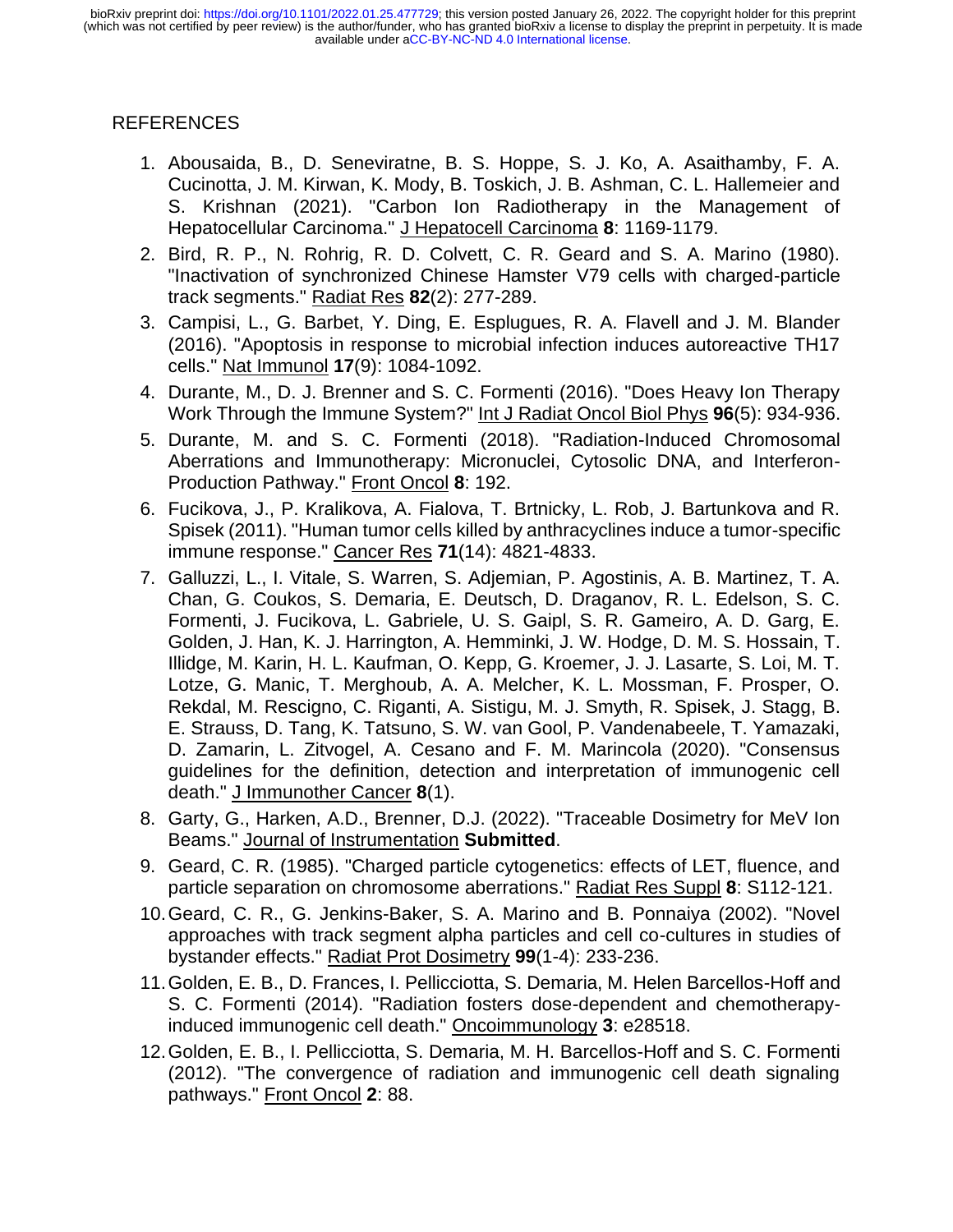# REFERENCES

- <span id="page-15-0"></span>1. Abousaida, B., D. Seneviratne, B. S. Hoppe, S. J. Ko, A. Asaithamby, F. A. Cucinotta, J. M. Kirwan, K. Mody, B. Toskich, J. B. Ashman, C. L. Hallemeier and S. Krishnan (2021). "Carbon Ion Radiotherapy in the Management of Hepatocellular Carcinoma." J Hepatocell Carcinoma **8**: 1169-1179.
- <span id="page-15-8"></span>2. Bird, R. P., N. Rohrig, R. D. Colvett, C. R. Geard and S. A. Marino (1980). "Inactivation of synchronized Chinese Hamster V79 cells with charged-particle track segments." Radiat Res **82**(2): 277-289.
- <span id="page-15-5"></span>3. Campisi, L., G. Barbet, Y. Ding, E. Esplugues, R. A. Flavell and J. M. Blander (2016). "Apoptosis in response to microbial infection induces autoreactive TH17 cells." Nat Immunol **17**(9): 1084-1092.
- <span id="page-15-1"></span>4. Durante, M., D. J. Brenner and S. C. Formenti (2016). "Does Heavy Ion Therapy Work Through the Immune System?" Int J Radiat Oncol Biol Phys **96**(5): 934-936.
- <span id="page-15-11"></span>5. Durante, M. and S. C. Formenti (2018). "Radiation-Induced Chromosomal Aberrations and Immunotherapy: Micronuclei, Cytosolic DNA, and Interferon-Production Pathway." Front Oncol **8**: 192.
- <span id="page-15-2"></span>6. Fucikova, J., P. Kralikova, A. Fialova, T. Brtnicky, L. Rob, J. Bartunkova and R. Spisek (2011). "Human tumor cells killed by anthracyclines induce a tumor-specific immune response." Cancer Res **71**(14): 4821-4833.
- <span id="page-15-6"></span>7. Galluzzi, L., I. Vitale, S. Warren, S. Adjemian, P. Agostinis, A. B. Martinez, T. A. Chan, G. Coukos, S. Demaria, E. Deutsch, D. Draganov, R. L. Edelson, S. C. Formenti, J. Fucikova, L. Gabriele, U. S. Gaipl, S. R. Gameiro, A. D. Garg, E. Golden, J. Han, K. J. Harrington, A. Hemminki, J. W. Hodge, D. M. S. Hossain, T. Illidge, M. Karin, H. L. Kaufman, O. Kepp, G. Kroemer, J. J. Lasarte, S. Loi, M. T. Lotze, G. Manic, T. Merghoub, A. A. Melcher, K. L. Mossman, F. Prosper, O. Rekdal, M. Rescigno, C. Riganti, A. Sistigu, M. J. Smyth, R. Spisek, J. Stagg, B. E. Strauss, D. Tang, K. Tatsuno, S. W. van Gool, P. Vandenabeele, T. Yamazaki, D. Zamarin, L. Zitvogel, A. Cesano and F. M. Marincola (2020). "Consensus guidelines for the definition, detection and interpretation of immunogenic cell death." J Immunother Cancer **8**(1).
- <span id="page-15-9"></span>8. Garty, G., Harken, A.D., Brenner, D.J. (2022). "Traceable Dosimetry for MeV Ion Beams." Journal of Instrumentation **Submitted**.
- <span id="page-15-10"></span>9. Geard, C. R. (1985). "Charged particle cytogenetics: effects of LET, fluence, and particle separation on chromosome aberrations." Radiat Res Suppl **8**: S112-121.
- <span id="page-15-7"></span>10.Geard, C. R., G. Jenkins-Baker, S. A. Marino and B. Ponnaiya (2002). "Novel approaches with track segment alpha particles and cell co-cultures in studies of bystander effects." Radiat Prot Dosimetry **99**(1-4): 233-236.
- <span id="page-15-4"></span>11.Golden, E. B., D. Frances, I. Pellicciotta, S. Demaria, M. Helen Barcellos-Hoff and S. C. Formenti (2014). "Radiation fosters dose-dependent and chemotherapyinduced immunogenic cell death." Oncoimmunology **3**: e28518.
- <span id="page-15-3"></span>12.Golden, E. B., I. Pellicciotta, S. Demaria, M. H. Barcellos-Hoff and S. C. Formenti (2012). "The convergence of radiation and immunogenic cell death signaling pathways." Front Oncol **2**: 88.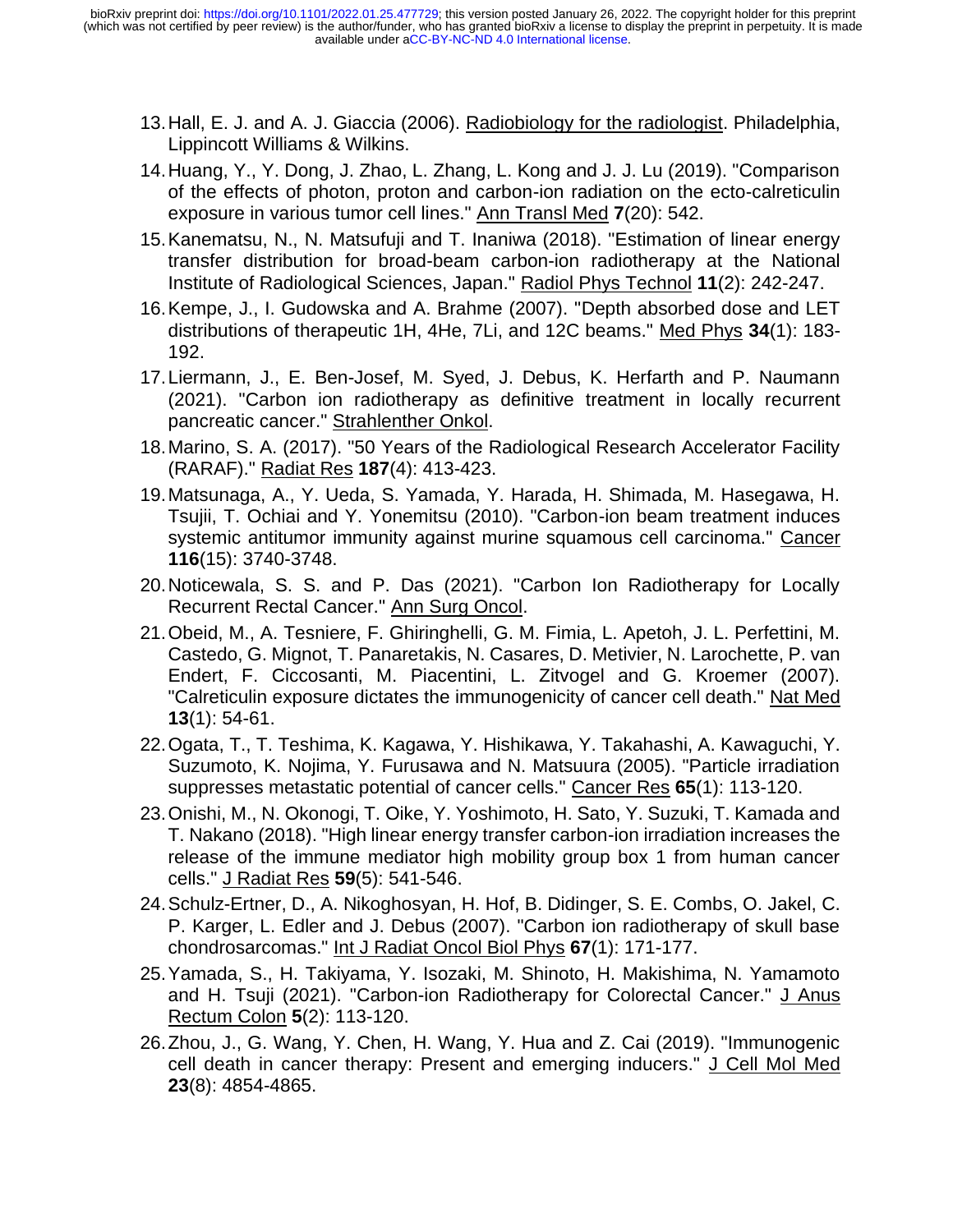- <span id="page-16-11"></span>13.Hall, E. J. and A. J. Giaccia (2006). Radiobiology for the radiologist. Philadelphia, Lippincott Williams & Wilkins.
- <span id="page-16-12"></span>14.Huang, Y., Y. Dong, J. Zhao, L. Zhang, L. Kong and J. J. Lu (2019). "Comparison of the effects of photon, proton and carbon-ion radiation on the ecto-calreticulin exposure in various tumor cell lines." Ann Transl Med **7**(20): 542.
- <span id="page-16-6"></span>15.Kanematsu, N., N. Matsufuji and T. Inaniwa (2018). "Estimation of linear energy transfer distribution for broad-beam carbon-ion radiotherapy at the National Institute of Radiological Sciences, Japan." Radiol Phys Technol **11**(2): 242-247.
- <span id="page-16-7"></span>16.Kempe, J., I. Gudowska and A. Brahme (2007). "Depth absorbed dose and LET distributions of therapeutic 1H, 4He, 7Li, and 12C beams." Med Phys **34**(1): 183- 192.
- <span id="page-16-1"></span>17.Liermann, J., E. Ben-Josef, M. Syed, J. Debus, K. Herfarth and P. Naumann (2021). "Carbon ion radiotherapy as definitive treatment in locally recurrent pancreatic cancer." Strahlenther Onkol.
- <span id="page-16-10"></span>18.Marino, S. A. (2017). "50 Years of the Radiological Research Accelerator Facility (RARAF)." Radiat Res **187**(4): 413-423.
- <span id="page-16-5"></span>19.Matsunaga, A., Y. Ueda, S. Yamada, Y. Harada, H. Shimada, M. Hasegawa, H. Tsujii, T. Ochiai and Y. Yonemitsu (2010). "Carbon-ion beam treatment induces systemic antitumor immunity against murine squamous cell carcinoma." Cancer **116**(15): 3740-3748.
- <span id="page-16-2"></span>20.Noticewala, S. S. and P. Das (2021). "Carbon Ion Radiotherapy for Locally Recurrent Rectal Cancer." Ann Surg Oncol.
- <span id="page-16-9"></span>21.Obeid, M., A. Tesniere, F. Ghiringhelli, G. M. Fimia, L. Apetoh, J. L. Perfettini, M. Castedo, G. Mignot, T. Panaretakis, N. Casares, D. Metivier, N. Larochette, P. van Endert, F. Ciccosanti, M. Piacentini, L. Zitvogel and G. Kroemer (2007). "Calreticulin exposure dictates the immunogenicity of cancer cell death." Nat Med **13**(1): 54-61.
- <span id="page-16-4"></span>22.Ogata, T., T. Teshima, K. Kagawa, Y. Hishikawa, Y. Takahashi, A. Kawaguchi, Y. Suzumoto, K. Nojima, Y. Furusawa and N. Matsuura (2005). "Particle irradiation suppresses metastatic potential of cancer cells." Cancer Res **65**(1): 113-120.
- <span id="page-16-13"></span>23.Onishi, M., N. Okonogi, T. Oike, Y. Yoshimoto, H. Sato, Y. Suzuki, T. Kamada and T. Nakano (2018). "High linear energy transfer carbon-ion irradiation increases the release of the immune mediator high mobility group box 1 from human cancer cells." J Radiat Res **59**(5): 541-546.
- <span id="page-16-0"></span>24.Schulz-Ertner, D., A. Nikoghosyan, H. Hof, B. Didinger, S. E. Combs, O. Jakel, C. P. Karger, L. Edler and J. Debus (2007). "Carbon ion radiotherapy of skull base chondrosarcomas." Int J Radiat Oncol Biol Phys **67**(1): 171-177.
- <span id="page-16-3"></span>25.Yamada, S., H. Takiyama, Y. Isozaki, M. Shinoto, H. Makishima, N. Yamamoto and H. Tsuji (2021). "Carbon-ion Radiotherapy for Colorectal Cancer." J Anus Rectum Colon **5**(2): 113-120.
- <span id="page-16-8"></span>26.Zhou, J., G. Wang, Y. Chen, H. Wang, Y. Hua and Z. Cai (2019). "Immunogenic cell death in cancer therapy: Present and emerging inducers." J Cell Mol Med **23**(8): 4854-4865.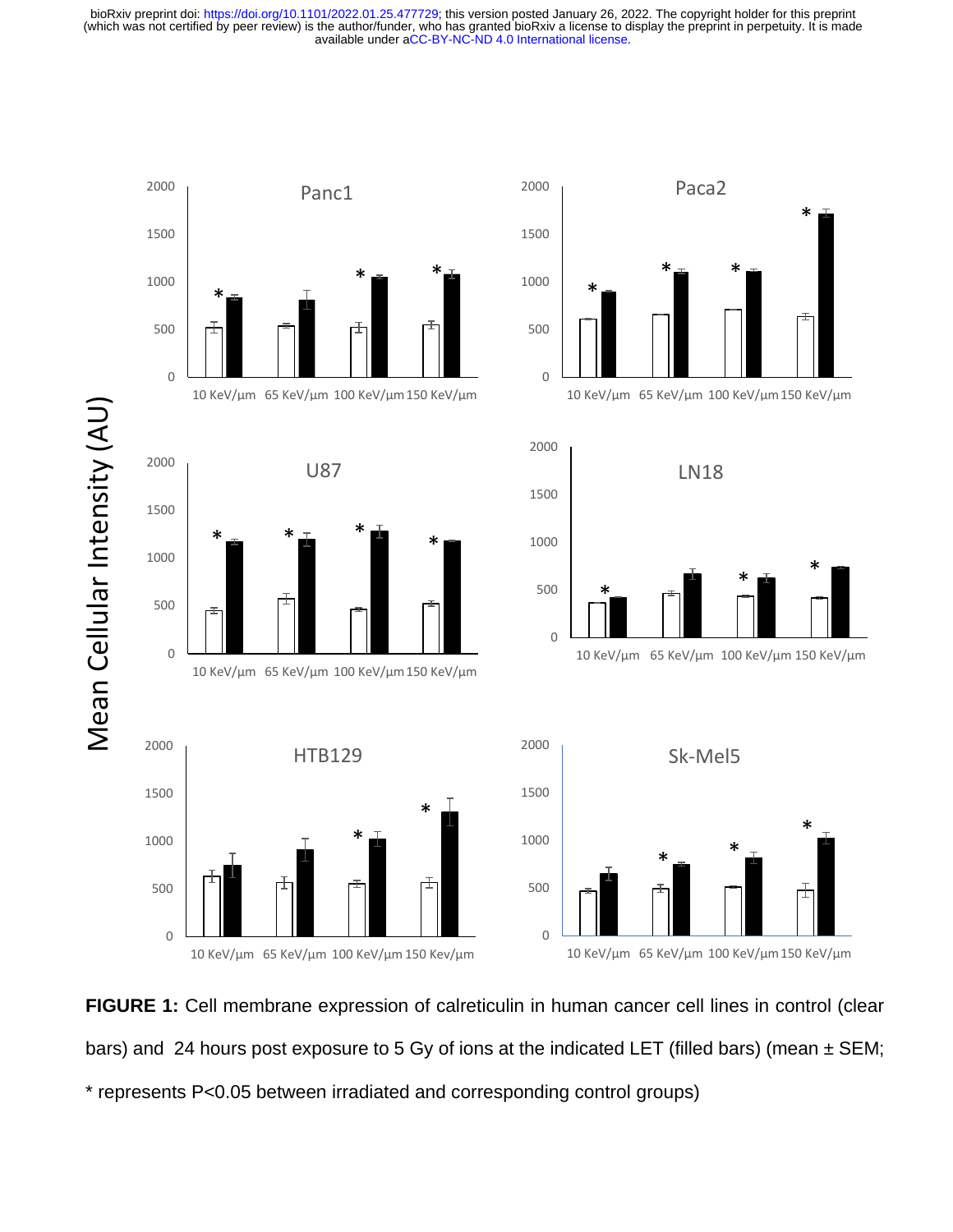

**FIGURE 1:** Cell membrane expression of calreticulin in human cancer cell lines in control (clear bars) and 24 hours post exposure to 5 Gy of ions at the indicated LET (filled bars) (mean  $\pm$  SEM; \* represents P<0.05 between irradiated and corresponding control groups)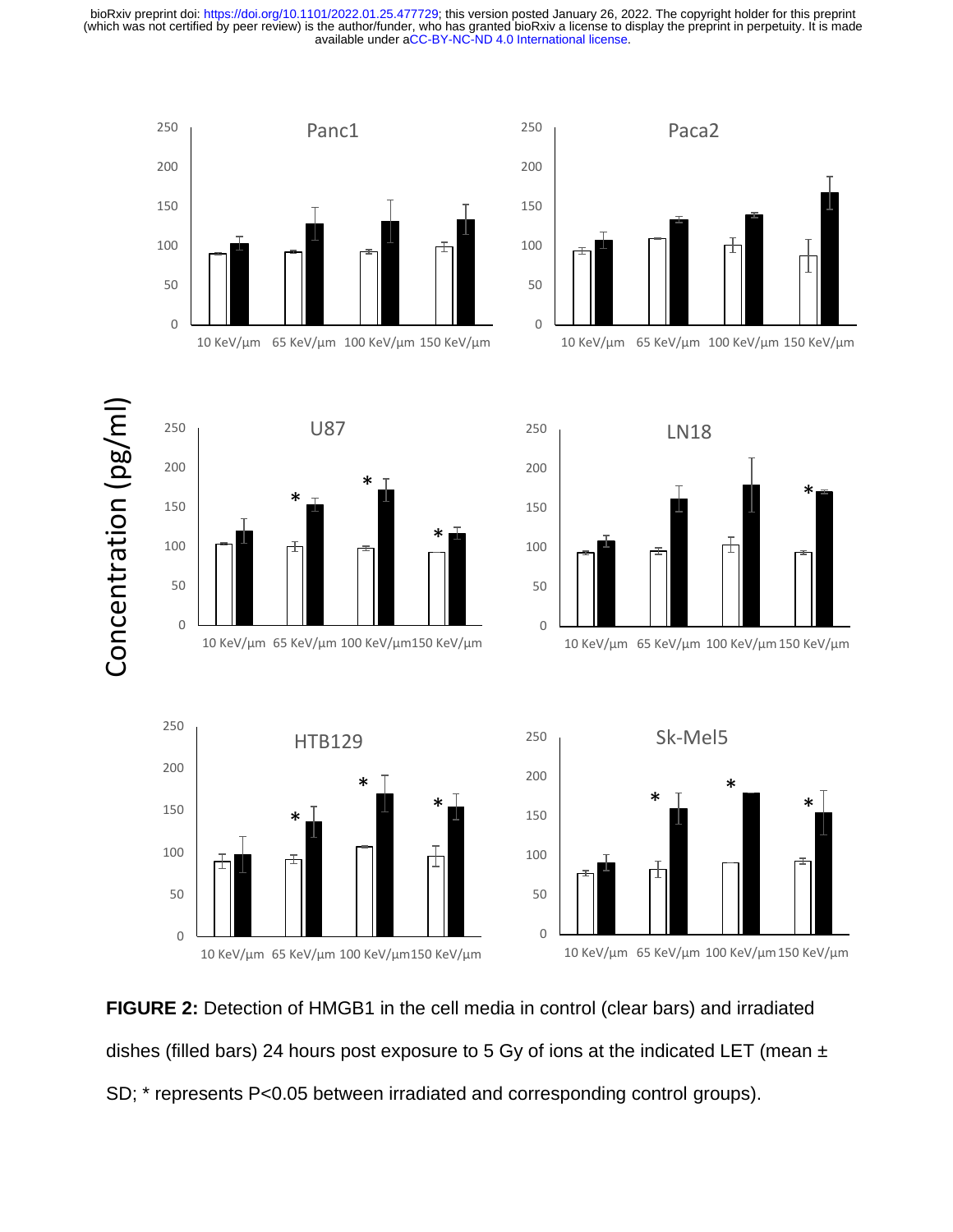











10 KeV/µm 65 KeV/µm 100 KeV/µm150 KeV/µm



**FIGURE 2:** Detection of HMGB1 in the cell media in control (clear bars) and irradiated dishes (filled bars) 24 hours post exposure to 5 Gy of ions at the indicated LET (mean  $\pm$ SD; \* represents P<0.05 between irradiated and corresponding control groups).